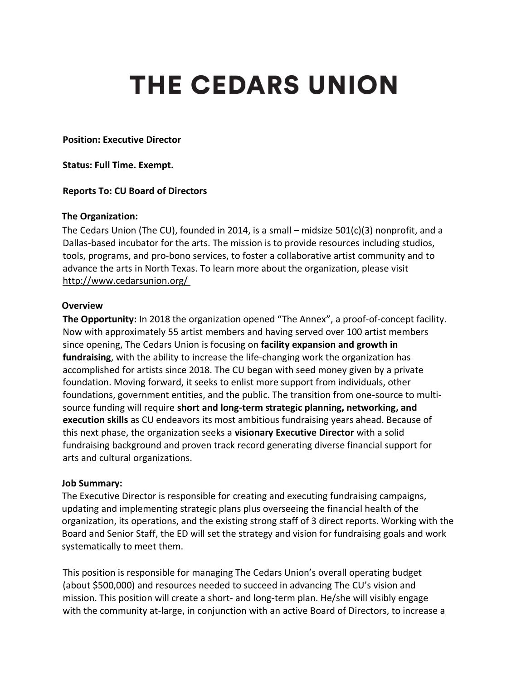# **THE CEDARS UNION**

**Position: Executive Director**

**Status: Full Time. Exempt.**

#### **Reports To: CU Board of Directors**

#### **The Organization:**

The Cedars Union (The CU), founded in 2014, is a small – midsize  $501(c)(3)$  nonprofit, and a Dallas-based incubator for the arts. The mission is to provide resources including studios, tools, programs, and pro-bono services, to foster a collaborative artist community and to advance the arts in North Texas. To learn more about the organization, please visit http://www.cedarsunion.org/

#### **Overview**

**The Opportunity:** In 2018 the organization opened "The Annex", a proof-of-concept facility. Now with approximately 55 artist members and having served over 100 artist members since opening, The Cedars Union is focusing on **facility expansion and growth in fundraising**, with the ability to increase the life-changing work the organization has accomplished for artists since 2018. The CU began with seed money given by a private foundation. Moving forward, it seeks to enlist more support from individuals, other foundations, government entities, and the public. The transition from one-source to multisource funding will require **short and long-term strategic planning, networking, and execution skills** as CU endeavors its most ambitious fundraising years ahead. Because of this next phase, the organization seeks a **visionary Executive Director** with a solid fundraising background and proven track record generating diverse financial support for arts and cultural organizations.

#### **Job Summary:**

The Executive Director is responsible for creating and executing fundraising campaigns, updating and implementing strategic plans plus overseeing the financial health of the organization, its operations, and the existing strong staff of 3 direct reports. Working with the Board and Senior Staff, the ED will set the strategy and vision for fundraising goals and work systematically to meet them.

This position is responsible for managing The Cedars Union's overall operating budget (about \$500,000) and resources needed to succeed in advancing The CU's vision and mission. This position will create a short- and long-term plan. He/she will visibly engage with the community at-large, in conjunction with an active Board of Directors, to increase a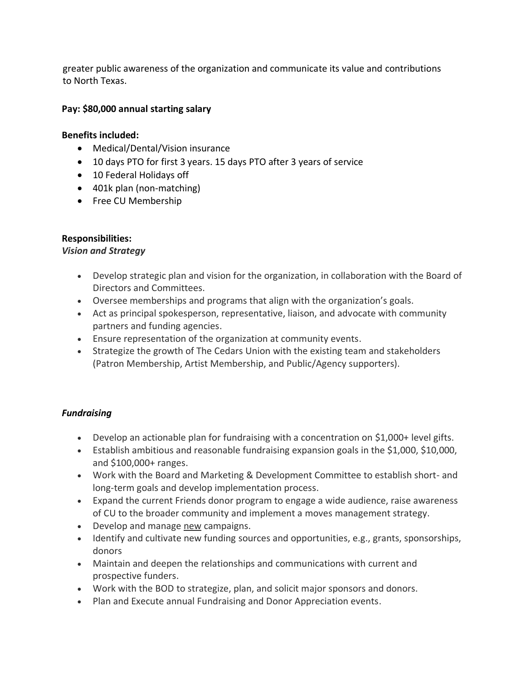greater public awareness of the organization and communicate its value and contributions to North Texas.

## **Pay: \$80,000 annual starting salary**

## **Benefits included:**

- Medical/Dental/Vision insurance
- 10 days PTO for first 3 years. 15 days PTO after 3 years of service
- 10 Federal Holidays off
- 401k plan (non-matching)
- Free CU Membership

# **Responsibilities:**

## *Vision and Strategy*

- Develop strategic plan and vision for the organization, in collaboration with the Board of Directors and Committees.
- Oversee memberships and programs that align with the organization's goals.
- Act as principal spokesperson, representative, liaison, and advocate with community partners and funding agencies.
- Ensure representation of the organization at community events.
- Strategize the growth of The Cedars Union with the existing team and stakeholders (Patron Membership, Artist Membership, and Public/Agency supporters).

# *Fundraising*

- Develop an actionable plan for fundraising with a concentration on \$1,000+ level gifts.
- Establish ambitious and reasonable fundraising expansion goals in the \$1,000, \$10,000, and \$100,000+ ranges.
- Work with the Board and Marketing & Development Committee to establish short- and long-term goals and develop implementation process.
- Expand the current Friends donor program to engage a wide audience, raise awareness of CU to the broader community and implement a moves management strategy.
- Develop and manage new campaigns.
- Identify and cultivate new funding sources and opportunities, e.g., grants, sponsorships, donors
- Maintain and deepen the relationships and communications with current and prospective funders.
- Work with the BOD to strategize, plan, and solicit major sponsors and donors.
- Plan and Execute annual Fundraising and Donor Appreciation events.